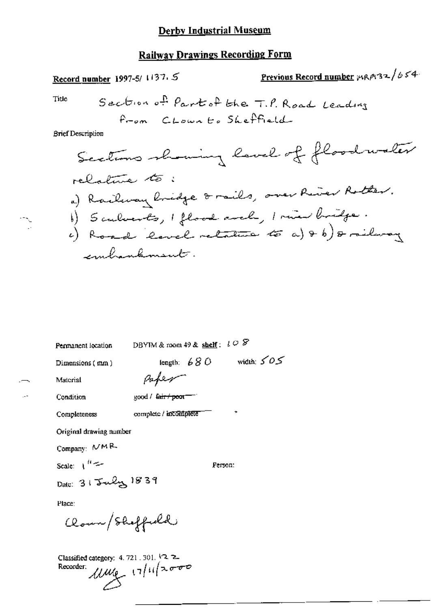## **Railway Drawings Recording Form**

Previous Record number  $\mu$ RP132/654 Record number 1997-5/ 1137.5 Section of Part of the T.P. Road Leading Title From CLown to Sheffield **Brief Description** Sections showing lavel of floodwater relative to: a) Railway Cridge & rails, over River Rotter. b) Sculverts, I flood arch, I min bridge.<br>6) Road 'lavel retature to a) + b) & ridway embankment.

| Permanent location                           | DBYIM & room 49 & shelf: $l \circ \mathcal{F}$ |               |              |
|----------------------------------------------|------------------------------------------------|---------------|--------------|
| Dimensions ( mm )                            |                                                | length: $680$ | width: $505$ |
| Material                                     | Paper                                          |               |              |
| Condition                                    | good / fair / poor-                            |               |              |
| Completeness                                 | complete / incomplete                          |               |              |
| Original drawing number                      |                                                |               |              |
| Company: $\mathcal{M}\mathsf{M}\mathsf{R}_1$ |                                                |               |              |
| Scale: المسيحة ال                            |                                                | Person:       |              |
| Date: 31 July 1839                           |                                                |               |              |
| Place:                                       |                                                |               |              |
| Clown/Sheffield                              |                                                |               |              |

Classified category: 4, 721, 301, 12, 2- $10^{11/2000}$ Recorder: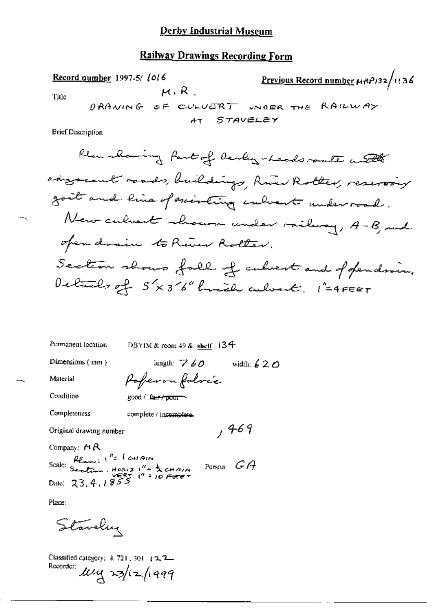### **Railway Drawings Recording Form**

| Record number 1997-5/1016 | Previous Record number $\mu \kappa \rho$ 136 |                               |                              |                                                                          |
|---------------------------|----------------------------------------------|-------------------------------|------------------------------|--------------------------------------------------------------------------|
| Title                     |                                              | $\rho$ RA $\nu$ in G $\alpha$ | $\sigma \in \text{CULUER T}$ | $\omega \kappa \sigma \varepsilon \kappa$ the RA $\mu \nu \Delta \gamma$ |
| Brief Description         |                                              |                               |                              |                                                                          |

 $,469$ 

Permanent location

DBYIM & room 49 & shelf: 134

Dimensions (mm)

length:  $760$  width:  $620$ Poperon folocc

Condition

Material

good / fair poor

Completeness

complete / incomplete.

Original drawing number

Company:  $\bigtriangleup\mathsf{R}$ 

Company.  $112$ <br>Scale: Section. Horiz 1"=  $\frac{1}{2}$  CHAIN<br>-  $\frac{1}{2}$  Section. Horiz 1"=  $\frac{1}{2}$  CHAIN Person:  $G$   $A$ Date:  $23, 4, 1855$ 

Place:

Staveley

Classified category: 4, 721, 301 (2, 2, 2, Recorder:  $\text{log}$  23/12/1999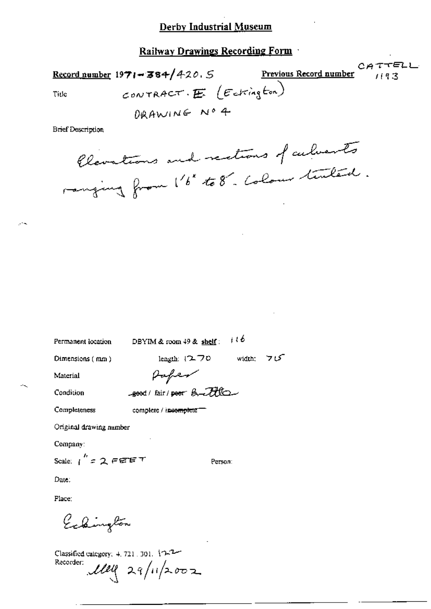Railway Drawings Recording Form

CATTELL Record number  $1971 - 384/420.5$ Previous Record number  $119.3$ CONTRACT.  $E$  (Estington) Title

DRAWING Nº 4

**Brief Description** 

Clevations and rections of culverts ranging from 1'6" to 8". Colour timbers.

Permanent location

DBYIM & room  $49$  & shelf:  $116$ 

Dimensions (mm)

length:  $(2.70$  width:  $70$ 

Material

Paper good/ fair/poor Buttle

Condition

Completeness

complete / incomplete =

Original drawing number

Company:

Scale:  $1^{''}$  = 2 FEET

Person:

Date:

Place:

Eckington

Classified category: 4, 721, 301, 10-2-Recorder:  $\mu$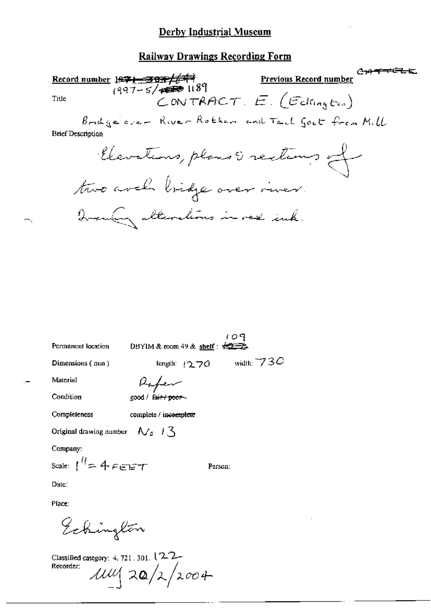### **Railway Drawings Recording Form**

جهوري Record number 1971-301/643 **Previous Record number** CONTRACT.  $E$ . (Edington) Title Bridge over River Rother and Tail Goet from Mill **Brief Description** Elevations, plans & rections of two arch bridge over river. Ironday alterations in red ink.

Permanent location

109 DBYIM & room 49 & shelf:  $\frac{1}{2}$ width:  $730$ 

length:  $1270$ 

Dimensions (mm)

Kabe

Condition

Completeness

Material

good / fair / poor complete / incomplete

Original drawing number  $\mathcal{N}_c$   $\mathcal{N}_c$ 

Company:

Scale:  $1^{\prime\prime}$  = 4 Figure  $\tau$ 

Person:

Date:

Place:

Eckington

Classified category: 4, 721, 301, 12-2-Recorder:  $114$  20/2/2004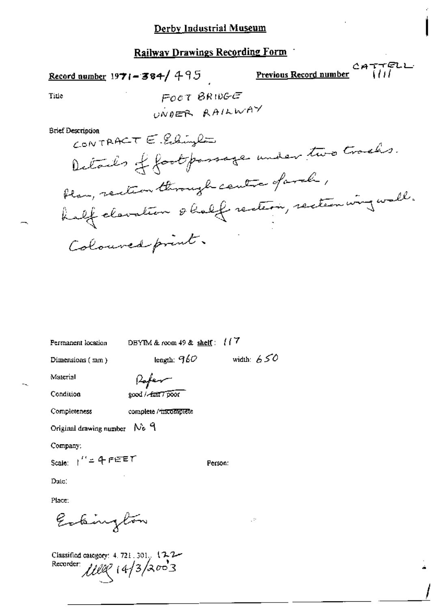Record number 1971-384/495

Previous Record number

CATTELL

Title

FOOT BRIDGE UNDER RAILWAY

**Brief Description** 

CONTRACT  $\in$  Estimates Details of footpossage under two tracks. flam, rection through centre of arch, half clavation & half rection, rection wing wall. Colouved print.

Permanent location

DBYIM & room 49 & shelf:  $117$ 

length;  $960$  width:  $650$ 

Person:

Ų.

Dimensions (mm)

Rofer

Condition

Material

good / fair / poor

Completeness complete / incomplete

Original drawing number  $N_0$   $\theta$ 

Company:

Scale:  $1'' = 4$  FEET

Date:

Place:

Estaington

Classified category: 4, 721, 301. (2-2-1100 14/3/2003 Recorder: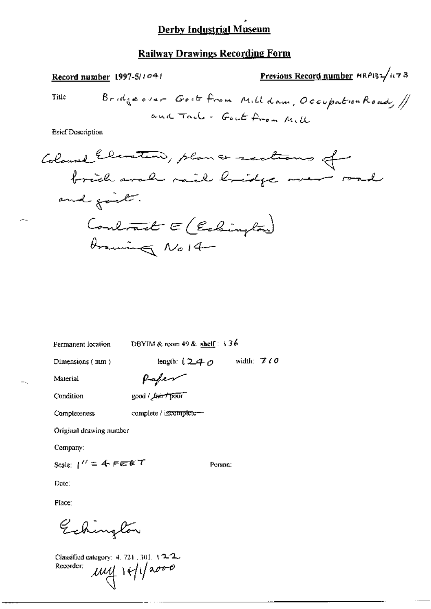### **Railway Drawings Recording Form**

**Brief Description** 

Permanent location

DBYIM & room 49 & shelf:  $\sqrt{36}$ 

Dimensions (mm)

length:  $(240 \twidth. 770$ 

Person:

Material

Paper good / Lair / poor

Condition

Completeness complete / incomplete-

Original drawing number

Company:

Scale:  $1'' = 4$  FEBT

Date:

Place:

Echington

Classified category: 4, 721, 301, 12-2.  $uy$   $|v|$   $|v|$ Recorder:

 $\sim$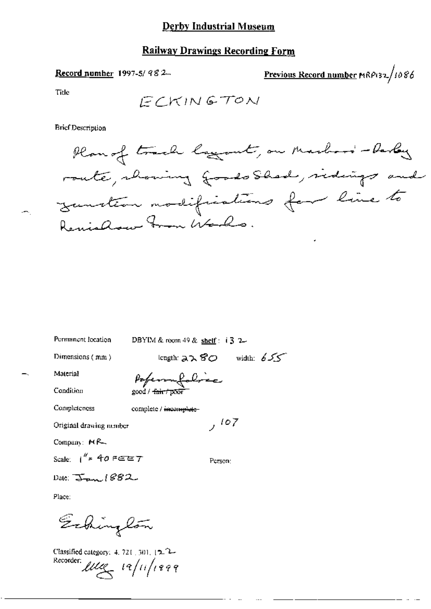#### **Railway Drawings Recording Form**

#### Record number 1997-5/982

Previous Record number MRP132/1086

Title

Ĵ.

**Brief Description** 



| Permanent focation             | DBYIM & room 49 & shelf : $\dot{3}$ 2 |
|--------------------------------|---------------------------------------|
| Dimensions (mm)                | width: $655$<br>konguh: スス 8の         |
| Material                       | Pofermalabrea                         |
| Condition                      | good / <del>fair / poor</del>         |
| Completeness                   | complete / incomplete-                |
| Original drawing nember        | 107                                   |
| Company: $MR_{\pm}$            |                                       |
| Scale: $1^{k}$ = 40 FEET       | Person:                               |
| Date: $\sum_{\text{max}}$ (882 |                                       |
| Place:                         |                                       |

Echington

Classified category: 4, 721, 301, 12, 2-Recorder:  $\mu$ ue  $\left| \frac{1}{2} \right|$   $\left| \frac{1}{2} \right|$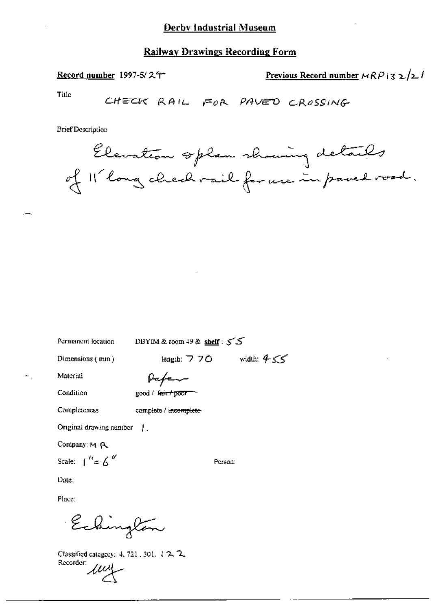Record number 1997-5/24

Previous Record number  $MRPI32/21$ 

Title

CHECK RAIL FOR PAVED CROSSING

**Brief Description** 

Elevation splan showing details of Il long check vail for use in pared road.

Permanent location

DBYIM & room 49 & shelf :  $55$ 

Dimensions (mm)

length:  $770$  width:  $455$ 

Material

Pafer

Condition

good / Seit+poor

Completeness

complete / incomplete-

Original drawing number |

Company: M R

Scale:  $\int_0^R \epsilon \epsilon \int_0^R$ 

Person:

Date;

Place:

Echington

Classified category: 4, 721, 301, 1 2, 2, Classing<br>Recorder: 1114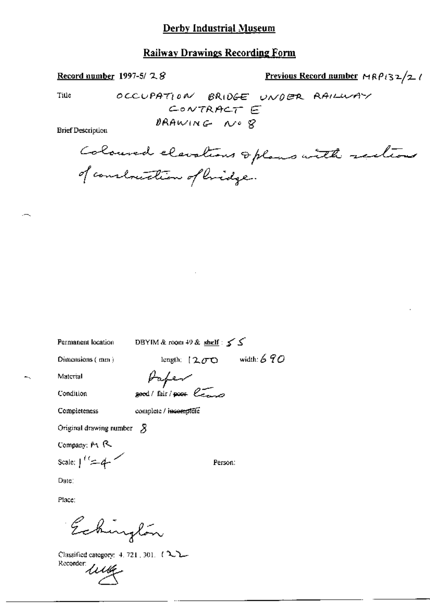#### Record number 1997-5/28

Previous Record number  $MRP(32/2)$ 

Title

OCCUPATION BRIDGE UNDER RAILWAY CONTRACT E DRAWING NO &

**Brief Description** 

Coloured elevations oplans with sections of construction of bridge.

Permanent location

DBYIM & room 49 & shelf :  $\leq \leq$ 

Dimensions (mm)

length:  $1200$  width: 690

Material

Paper good/fair/poor leave

Condition Completeness

complete / incomplete

Original drawing number  $\beta$ 

Company;  $M$   $R$ 

Scale:  $1^{\ell} = 4$ 

Person:

Date:

Place:

Echington

Classified category: 4, 721, 301, 1222 Recorder Little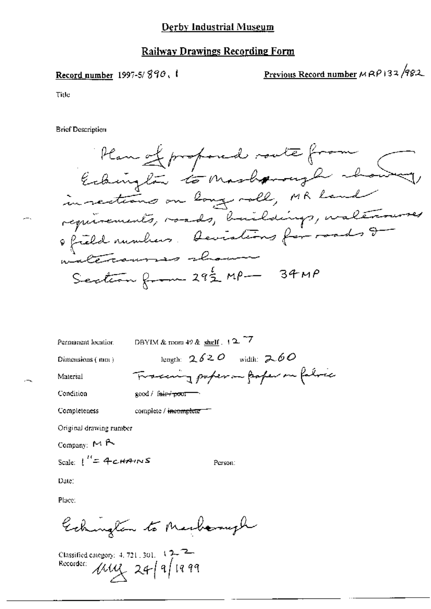#### Railway Drawings Recording Form

Record number 1997-5/890, I Previous Record number  $MRP$  132/982

Title

**Brief Description** 



| DBYIM & mom $49$ & shelf $. 12$ <sup>-7</sup>             |
|-----------------------------------------------------------|
| length: $2620$ width: $260$                               |
| Traccing papera poper on fabric                           |
| $\text{good}$ / $\text{fair}$ $\rightarrow$ $\text{corr}$ |
| complete / incomplete                                     |
| Original drawing rumber                                   |
|                                                           |

Company:  $M$  A

Scale:  $\int_{0}^{H} = 4cH/2mS$  Parson:

Date:

Place

Eckington to Marbornigh

r|m|@.»¢~r<;¢r, <sup>4</sup> m :01 \?~°— murder 4% 14% Q, <sup>H</sup> <sup>M</sup>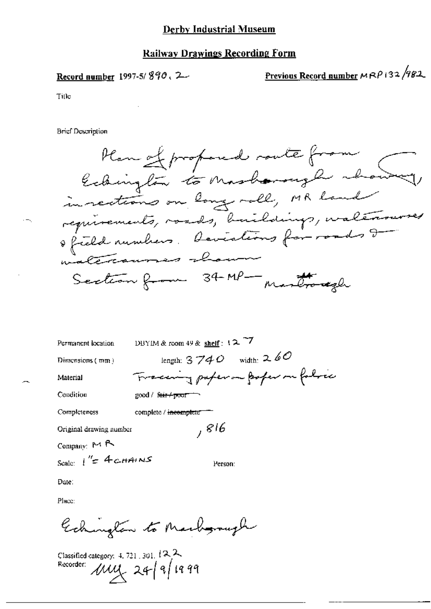Record number 1997-5/890, 2

Previous Record number MRP132/982

Tille

**Brief Description** 

Plan of proposed route from in rections on long roll, MR land reprinements, voids, buildings, waltersures Section from 34-MP- martroregh

| Permanent location      | DBYIM & room 49 & shelf: $12.77$       |
|-------------------------|----------------------------------------|
| Dimensions (mm)         | length: $3740$ width: $260$            |
| Material                | Tracering paper on poper on follow     |
| Condition               | $\text{good}$ / fair $\leftarrow$ poor |
| Completeness            | complete / incomplete                  |
| Original drawing number | , 816                                  |
| Company: $M R$          |                                        |
| Seale: $1'' = 4$ chains | Person:                                |

Date:

Place:

Echinolan to Marborough

Classified category: 4, 721, 301,  $\{\lambda, \lambda\}$ Recorder:  $\mu u x$  24/9/1999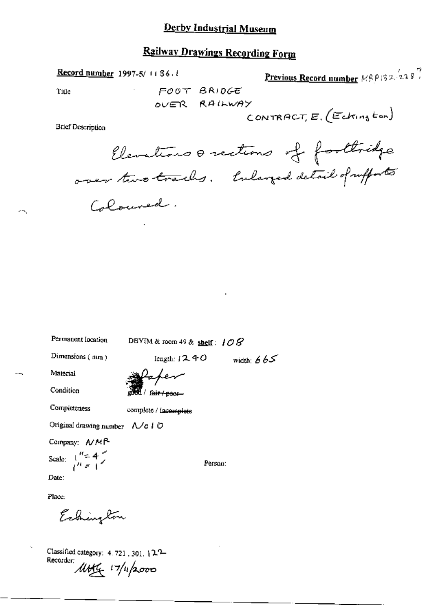# **Railway Drawings Recording Form**

**Record number** 1997-5/1136.1

Previous Record number  $\mathbb{R} \beta \rho \beta$  2.  $\left(228\right)^7$ 

CONTRACT,  $E$ , (Eckington)

Title

FOOT BRIDGE OVER RAILWAY

**Brief Description** 

Elevations orections of forthidge over two tracks. Enlarged detail of rufforts Coloured.

width:  $665$ 

Permanent Iocation

DBYIM & room 49 & shelf:  $108$ 

Iength:  $1240$ 

Dimensions (mm)

eded / fair / poor

Completeness

Material

Condition

complete / incomplete

Original drawing number A/c | O

Company: NMP

Scale:  $\frac{1}{t^{n}z+1}$ 

Date:

Place:

Echington

Classified category: 4.721, 301, 122-Recorder: 17/11/2000

Person: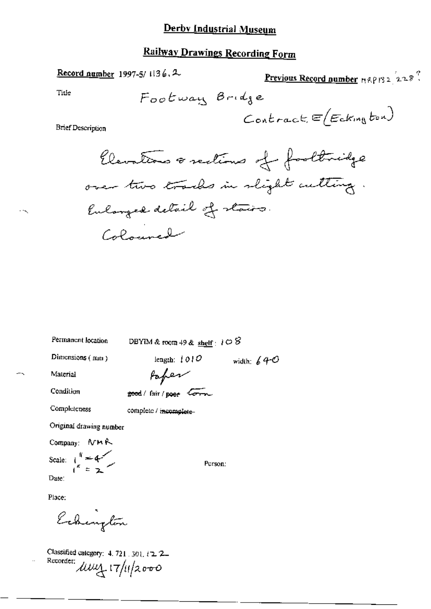Record number 1997-5/1136.2

Previous Record number 19812228?

Title

$$
\mathsf{Contract}(\mathsf{E}(\mathsf{Exim}_3\mathit{to}_4))
$$

**Brief Description** 

Permanent location

DBYIM & room 49 & shelf :  $1 \circ 8$ 

length:  $1010$ 

Dimensions (mm)

width:  $640$ 

Material

Paper good/fair/poor Corn

Completeness

Condition

complete / incomplete-

Original drawing number

Company: NMR Scale:  $\int_{1}^{R}$  = 4 Date:

Person:

Place:

Echington

Classified category: 4, 721, 301, 12, 2-Recorder:  $\mu$  $\mu$   $\frac{1}{4}$   $\frac{1}{4}$   $\frac{1}{4}$   $\frac{1}{2000}$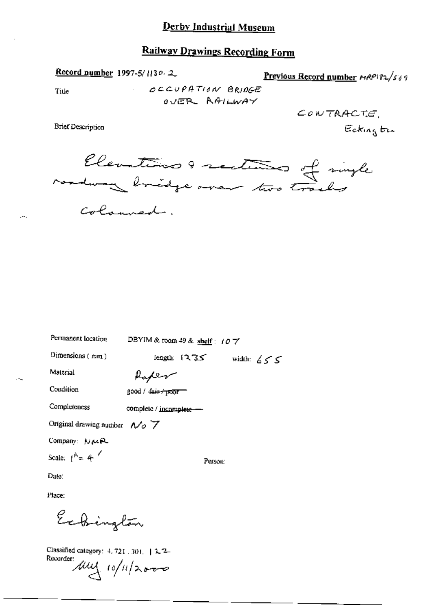### **Railway Drawings Recording Form**

Record number 1997-5/1130.2

Previous Record number  $r_1RP_1s_2/s_6q$ 

Title

 $\overline{a}$ 

OCCUPATION BRIDGE OVER AAILWAY

**Brief Description** 

 $\text{ConvTRACT:}\ \mathcal{C}$ Eckington

Elevations & sections of single Colomned.

| Permanent location                                     | DBYIM & room 49 & shelf: $107$ |              |
|--------------------------------------------------------|--------------------------------|--------------|
| Dimensions (mm)                                        | length: $12.35$                | width: $655$ |
| Material                                               | Raper                          |              |
| Condition                                              | $good / 4a + 1000$             |              |
| Completeness                                           | complete / incomplete -        |              |
| Original drawing number $\Lambda$ $\sim$ $\mathcal{V}$ |                                |              |
| Company: NuR                                           |                                |              |
| Scale: $1^{h}$ = 4 <sup>/</sup>                        |                                | Person:      |
| Date:                                                  |                                |              |
|                                                        |                                |              |

Place:

Echington

Classified category: 4, 721 . 301. | 2.2-Recorder: My 10/11/2000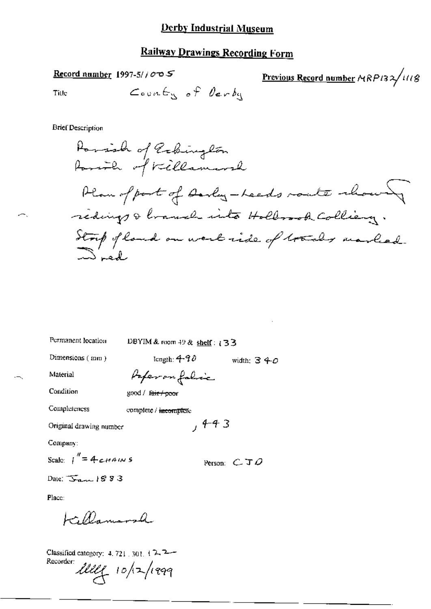#### Record number 1997-5/ $\sqrt{2}$

Previous Record number MRP132/1118

Title

**Brief Description** 

Parish of Rebington Parith of Killamarsh Plan of port of Darly-Leeds route whous redings & branch into Hollosok Colliery. Strip of land on west side of trades unded

Permanent location

DBYIM & room 49 & shelf:  $(33)$ 

Dimensions (mm)

length:  $4-90$ width:  $340$ 

 $, 4 - 4$  3

Material

Condition

Paperon folic

good / fair / poor

Completeness complete / incomplete

Original drawing number

Company:

Scale:  $I'' = 4 \epsilon H^2$ 

Person:  $C \mathcal{I} \mathcal{Q}$ 

Date:  $\overline{S_{\text{max}}}$  1883

Place:

H Damond

Classified category: 4, 721, 301, 17, 2-Recorder: lille 10/2/1999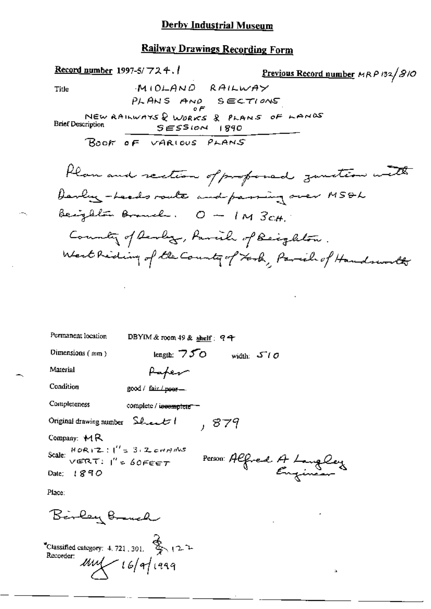# **Railway Drawings Recording Form**

| Permanent location                                        | DBYIM & room 49 & shelf: $94$ |
|-----------------------------------------------------------|-------------------------------|
| Dimensions $(mn)$                                         | length: $750$<br>width: $5/0$ |
| Material                                                  | Paper                         |
| Condition                                                 | good / fair / poor -          |
| Completeness                                              | complete / incomplete =       |
| Original drawing number Sheet                             | , 879                         |
| Company: $M$ R                                            |                               |
| Scale: $HOR1Z$ : $1'' = 3.2cm$<br>$VERN$ : $1'' = 60FERT$ | Person Alfred A Langley       |
| Date: $1890$                                              |                               |
| Place:                                                    |                               |

 $\mathbf{\hat{a}}$ 

Birley Bruch<br>Classified category: 4.721.301. \$ 122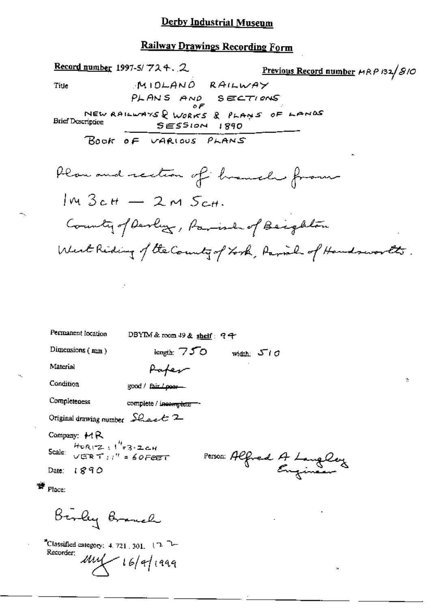# Railway Drawings Recording Form

| Record number 1997-5/724. 2                            |                                                           |                          | Previous Record number HRP 132/810 |  |
|--------------------------------------------------------|-----------------------------------------------------------|--------------------------|------------------------------------|--|
| Title                                                  | MIDLAND RAILWAY                                           |                          |                                    |  |
|                                                        | PLANS AND SECTIONS                                        |                          |                                    |  |
| <b>Brief Description</b>                               | NEW RAILWAYS & WORKS & PLANS OF LANDS<br>$SESSION$ $1890$ |                          |                                    |  |
|                                                        | BOOK OF VARIOUS PLANS                                     |                          |                                    |  |
|                                                        | flan and rection of homele from                           |                          |                                    |  |
|                                                        | $Im\ 3$ cH $-$ 2 m $S$ cH.                                |                          |                                    |  |
|                                                        | County of Devluz, Parish of Beighton                      |                          |                                    |  |
|                                                        | West Riding of the Country of York, Parish of Handsworth. |                          |                                    |  |
|                                                        |                                                           |                          |                                    |  |
|                                                        |                                                           |                          |                                    |  |
|                                                        |                                                           |                          |                                    |  |
|                                                        |                                                           |                          |                                    |  |
| Permanent location                                     | DBYIM & room 49 & shelf: $94$                             |                          |                                    |  |
| Dimensions (mm)                                        | length: $750$                                             | width: $5/0$             |                                    |  |
| Material                                               | Paper                                                     |                          |                                    |  |
| Condition                                              | good / fair / poer-                                       |                          |                                    |  |
| Completeness                                           | complete / incomplete -                                   |                          |                                    |  |
| Original drawing number $\mathcal{L}_{\text{back}}$ 2  |                                                           |                          |                                    |  |
| Company: $H$ R                                         |                                                           |                          |                                    |  |
| $HOR-Z$ : $1''=3.2CH$<br>Scale:<br>$VERNT$ :" = 60FeET |                                                           |                          |                                    |  |
| Date: $1890$                                           |                                                           | Person: Alfred A Langley |                                    |  |
| $\frac{1}{2}$ Place:                                   |                                                           |                          |                                    |  |
| Berley Branch                                          |                                                           |                          |                                    |  |

 $\hat{\mathbf{a}}$ 

<sup>2</sup>Classified category: 4.721, 301,  $(2^2)$ <br>Recorder:  $(1, 1)$  $\mu$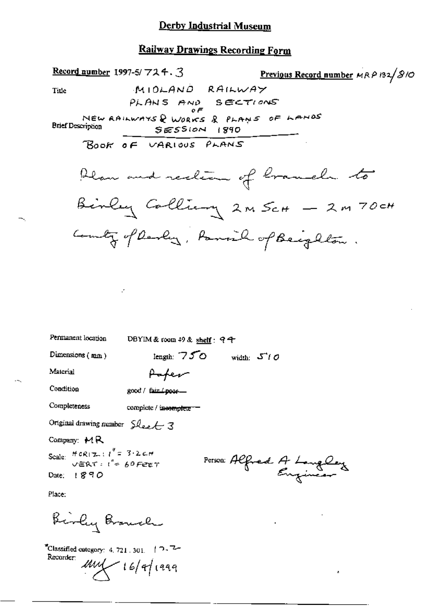#### **Railway Drawings Recording Form**



 $\boldsymbol{\delta}$ 

| Permanent location                                                                                   | DBYIM & room 49 & shelf: $94$ |                                 |                         |
|------------------------------------------------------------------------------------------------------|-------------------------------|---------------------------------|-------------------------|
| Dimensions $(mn)$                                                                                    | length: $750$                 | width: $5^{\prime\prime}\theta$ |                         |
| Material                                                                                             | Paper                         |                                 |                         |
| Condition                                                                                            | good / fair poor-             |                                 |                         |
| Completeness                                                                                         | complete / incomplete         |                                 |                         |
| Original drawing number $S$ lee $\leftarrow$ 3                                                       |                               |                                 |                         |
| Company: $M$ R                                                                                       |                               |                                 |                         |
| Scale: $H \circ R(\tau) : l'' = 3 \cdot 2 \in H$<br>$\sqrt{\pi} R \tau : l'' \approx 60$ Fere $\tau$ |                               |                                 | Person Alfred A Langley |
| Date: $1890$                                                                                         |                               |                                 |                         |
|                                                                                                      |                               |                                 |                         |

Place:

Birly Branch

P,

 $^{\bullet}$ Classified category: 4, 721, 301,  $+$   $\cap$  -  $\mathbb{Z}$ -Recorder:  $\mu$ uy  $\mu$  16/9/1999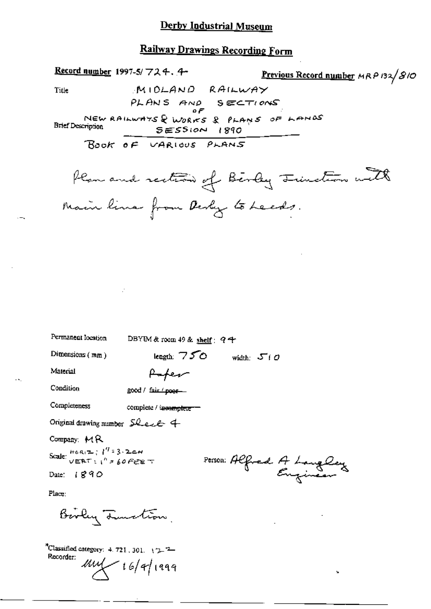Record number 1997-5/ $724.4$ Previous Record number MRP 132/810 Title MIOLAND RAILWAY PLANS AND SECTIONS οF NEW RAILWAYS & WORKS & PLANS OF LANDS **Brief Description**  $SESSION$   $1890$ BOOK OF VARIOUS PLANS Plan and rection of Birley Junction with Main lina from Desly to Leeds. Permanent location DBYIM & room 49 & shelf: 94 Dimensions (mm) length:  $750$  width:  $500$ Material Anter Condition good / fair / poor-Completeness complete / incomplete == Original drawing number  $SLecL$  4 Company: MR Scale:  $\frac{H(0, R) \sum_{i=1}^{n} {1 \choose i} 3 \cdot 2 \leq H}{\sqrt{E R T} \sum_{i=1}^{n} 3 \cdot 60 F \in E \top}$ Person: Alfred A Langley Date:  $1890$ Place: Bevly Tunction. <sup>3</sup>Classified category:  $4.721, 301, 12.7$ Recorder:  $\mu$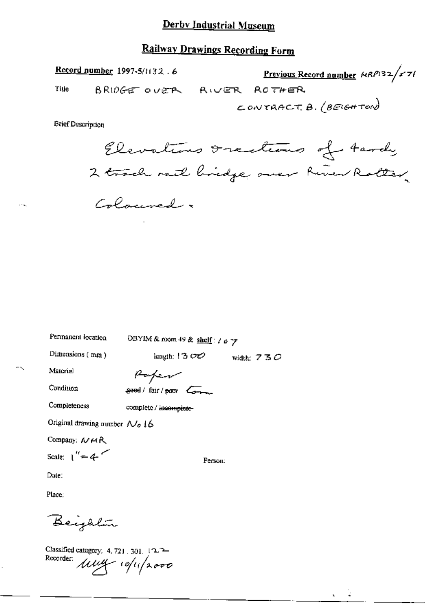### Railway Drawings Recording Form

Record number 1997-5/1132.6 <u>Previous Record number</u>  $MRP/32 / s$ 71  $ROTHER$ Title BRIDGE OVER AWER CONTRACT.  $\theta$ . (BEIGHTON)

**Brief Description** 

Elevations Irections of tardy 2 track rail bridge over River Roller Coloured.

Permanent location

DBYIM & room 49 & shelf:  $\ell \circ \gamma$ 

Dimensions (mm)

length:  $1300$  width:  $730$ 

Person:

Material Condition

Paper good / fair / poor Commun

Completeness

complete / incomplete-

Original drawing number No 16

Company: NMA

Scale:  $1'' = 4$ 

Date:

Place:

Beighlân

Classified category: 4, 721, 301, 122 Recorder: Muy 10/11/2000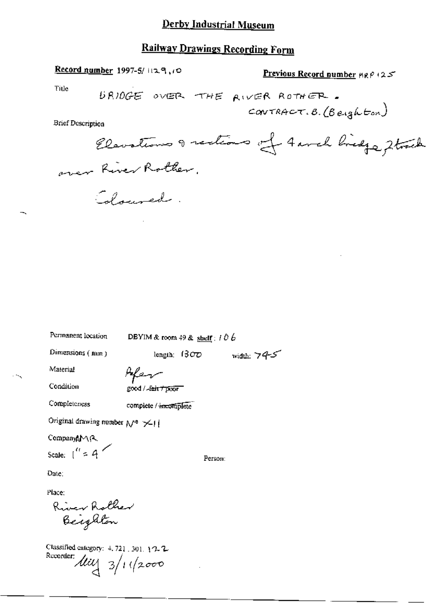### **Railway Drawings Recording Form**

Record number 1997-5/1129,10

**Previous Record number**  $\text{MRP}$  (25)

Title

URIDGE OVER THE RIVER ROTHER. CONTRACT. B. (Beighton)

**Brief Description** 

Elevations of rections of 4 anch bridge , 2 track over River Rother.

Colouved.

Permanent location

DBYIM & room 49 & shelf :  $106$ 

Dimensions (nin)

Afer

Condition

Material

good / Jain / poor

Completeness

complete / incomplete

Original drawing number  $\mathcal{N}^{\circ}$   $\times$  11

CompanyAMR

Scale:  $1'' = 4$ 

Person:

length:  $1300$  width:  $745$ 

Date:

Place:

River Rother<br>Beighton

Classified category:  $4, 721, 301, 12, 2$ Recorder: 11  $\frac{1}{4}$  3/1 (2000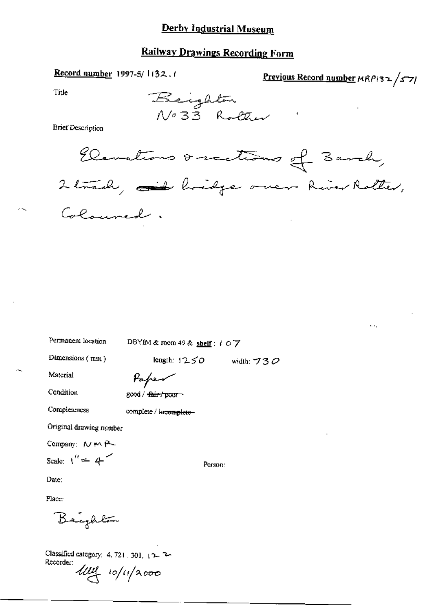### **Railway Drawings Recording Form**

Record number 1997-5/1132.1

Previous Record number NRP132/571

 $\mathbf{r}_i$ 

Title

**Brief Description** 



Permanent location

DBYIM & room 49 & shelf: 107

length:  $1250$  width: 730

Person:

Dimensions (mm)

Paper

Condition

Material

good / fair / poor

Completeness

complete / incomplete-

Original drawing number

Company: NMP

Scale:  $1'' = 4$ 

Date:

Place:

Beighton

Classified category: 4, 721 301, 17 2-Recorder:

ling 10/11/2000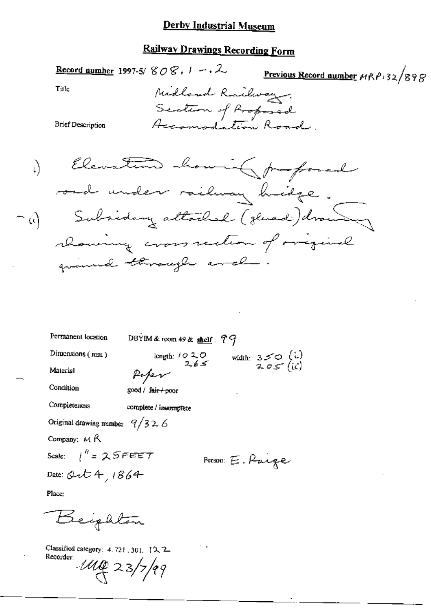### <u>Derby Indust</u>rial Museum

## **Railway Drawings Recording Form**

Title

Previous Record number  $MRP/32/898$ Midland Railway Section of Proposed Accomodation Road.

**Brief Description** 

Record number 1997-5/  $808.1 - 2$ 

Elevation howing proposed  $\mathfrak{h}$ road under railway hidge. Subsiding attached (glued) drawing  $\cap$   $\omega$ chancing cross section of overginal ground through and

| Permanent location               | DBYIM & room $49$ & shelf: $79$                                                                  |
|----------------------------------|--------------------------------------------------------------------------------------------------|
| Dimensions (mm)                  | width: $350$ (i)<br>$205$ (i)<br>$\begin{array}{r} \text{length:} \quad 1020 \\ 265 \end{array}$ |
| Material                         | Poper                                                                                            |
| Condition                        | good / fair+poor<br>                                                                             |
| Completences                     | complete / incomplete                                                                            |
| Original drawing number $9/32.6$ |                                                                                                  |
| Company: $M$ $R$                 |                                                                                                  |
| Scale: $1^{n}$ = 25 FEET         | Person E. Parge                                                                                  |
| Date: Ort 4, 1864                |                                                                                                  |

Place:

Beighton

Classified category: 4.721, 301, 12, 2 Recorder:  $-140$  23/7/99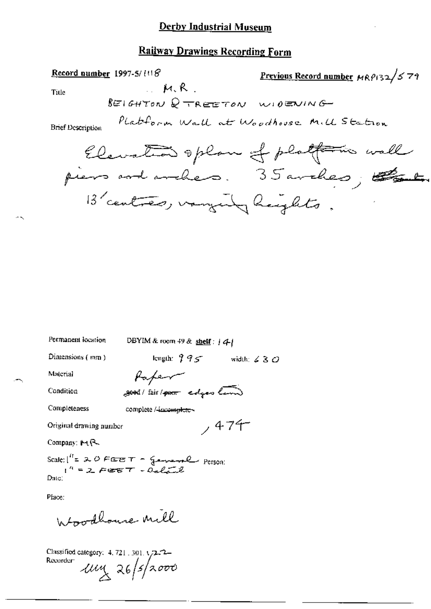### **Railway Drawings Recording Form**

Record number 1997-5/108 Previous Record number MRP132/579  $M, R$ Title BEIGHTON Q TREETON WIDENING PLatform Wall at Woodhouse Mill Station

**Brief Description** 

Permanent location

DBYIM & room 49 & shelf:  $|4|$ 

Dimensions (mm)

length:  $995$  width:  $630$ 

 $,474$ 

Material

Condition

Paper good/fair/poor edges land

Completeness complete /-incomplete-

Original drawing number

Company: MR

Scale:  $\int_1^R = 2 \cdot \theta$  FEET - General person:<br> $\int_1^R = 2 \cdot \theta$  EET - Octave  $Date:$ 

Place:

Whoodhouse mill

Classified category: 4, 721, 301, 1/2-72-Recorder:  $u_{\alpha}$  26/5/2000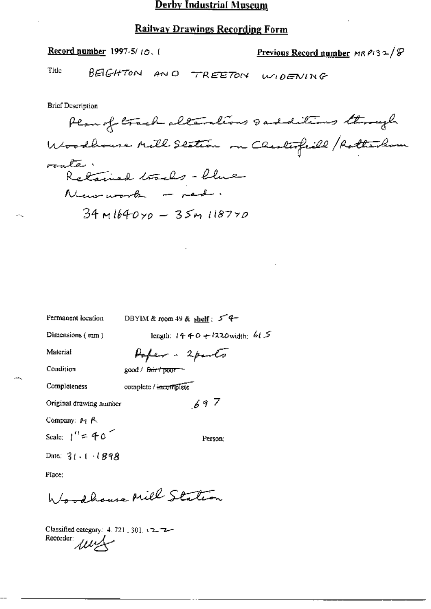#### **Railway Drawings Recording Form**

Previous Record number MR  $P(32)$ Record number 1997-5/ $(0, 1)$ Title BEIGHTON AND TREETON WIDENING **Brief Description** Plan of track alterations sadditions through Woodbours Mill Station on Chesterfield / Rotherlow route. Retained tracks - blue Numerork - red.  $34$  m  $1640y0 - 35y$   $1187y0$ 

DBYIM & room 49 & shell:  $54$ Permanent location length:  $14 + 0 + 1220$  width:  $61.5$ Dimensions (mm) Poper - 2 parts Material Condition good / fair / poor complete / incomplete Completeness  $697$ Original drawing number Company: M R Scale:  $1'' = 40$ Person: Date:  $31 \cdot 1 \cdot 1898$ Place:

Woodhouse Mill Station

Classified category: 4, 721, 301, 52, 72-Recorder: 111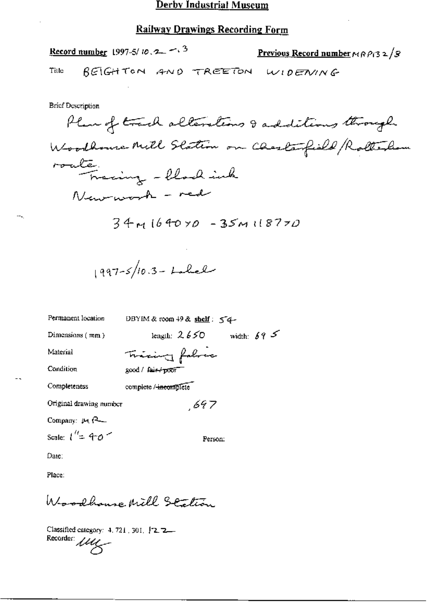### **Railway Drawings Recording Form**

|       | <u>Record number</u> 1997-5/10, 2 - 3 |  | <u>Previous Record number</u> $m \rho_1$ 3 2/8 |
|-------|---------------------------------------|--|------------------------------------------------|
| Title |                                       |  | BEIGHTON AND TREETON WIDENING                  |

**Brief Description** 

 $\sim$ 

 $\overline{\phantom{a}}$ 

| Permanent location      | DBYIM & room $49$ & shelf: $54-$       |
|-------------------------|----------------------------------------|
| Dimensions (mm)         | width: $69^{\circ}$<br>length: $2.650$ |
| Material                | Tricing fabric                         |
| Condition               | good / fair-/poor                      |
| Completeness            | complete / incomplete                  |
| Original drawing number | 697                                    |
| Company: $\mu_1$ $\sim$ |                                        |
| Scale: $l'' = 40$       | Person:                                |
| Date:                   |                                        |
| Place:                  |                                        |

Woodhause Mill Station

Classified category: 4, 721, 301, <sup>1</sup>2, 2-Recorder *luly*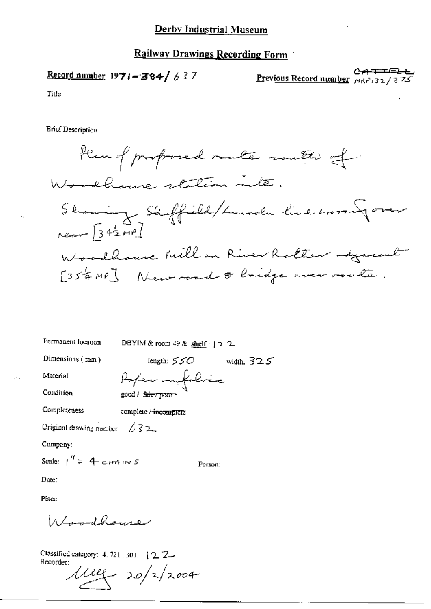Record number  $1971 - 384 / 637$ 

∓⋐ Previous Record number  $\mu_1$   $\mu_2$  /32/37.

Title

**Ericf Description** 



Permanent location

DBYIM & room 49 & shelf : | 2 2

Referentabric

Dimensions (mm)

length:  $550$ width:  $325$ 

Material

Condition

Completeness complete / incomplete

good / fair/poor

Original drawing number  $\sqrt{32}$ 

Company:

Scale:  $t'' = 4$  cant in 5

Person:

Date:

Place:

سعد مدرسة على است به مركز ١٨

Classified category: 4, 721, 301. [ 2, 2. Recorder:

 $\mu_{2}$  20/2/2004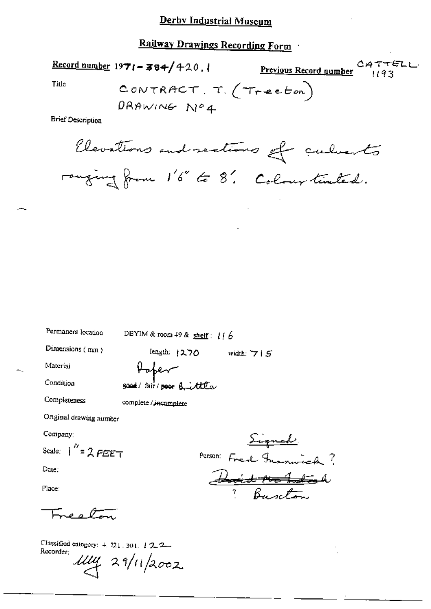Record number  $1971 - 384/420$ ,

CATTELL<br> $1193$ Previous Record number

Title

**Brief Description** 

Elevations and sections of culverts ranging from 1'6" to 8'. Colour tented.

Permanent location

DBYIM & room 49 & shelf:  $116$ 

Dimensions (mm)

length: 1270 width:  $715$ 

Material

Unher

Condition

Completeness

complete / incomplete

social/fair/poor Brittle

Onginal drawing number

Company:

Scale:  $\int_{0}^{R} = 2 F E E T$ 

Date:

Place:

پیم مت

Classified category: 4, 721, 301, 122 Recorder:  $\mu\mu$  29/11/2002

<u>Signal</u> Person: Fred Francisch? Did notated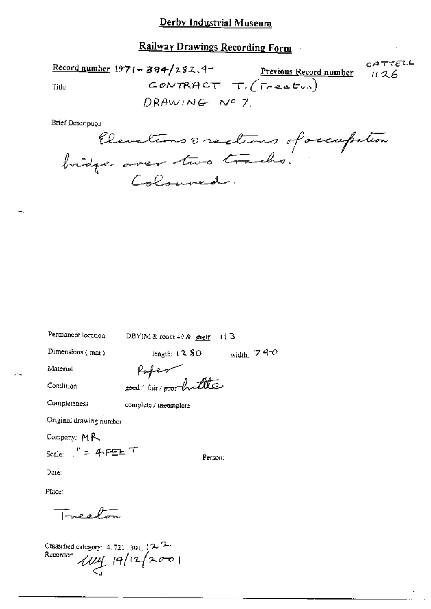CATTELL  $\frac{\text{Record number}}{1971 - 384}$ /282.4 Previous Record number 11 2 6 CONTRACT T.  $(T_{reset})$ Title DRAWING Nº 7

**Brief Description** 

Elevations orections of occupation

Permanent location

DBYIM & room 49 & shelf:  $113$ 

Dimensions  $(mn)$ 

width:  $740$ length:  $1280$ 

Material

Condition

Popen sood air / poor hottle

Completeness

complete / meomplete

Original drawing number

Company: MR

Scale:  $1'' = 4$ -FEET

Person:

Date:

Place:

بهتيركم وعبيته

Classified category: 4, 721, 301,  $\sim$   $\sim$ Recorder 1114 19/12/2001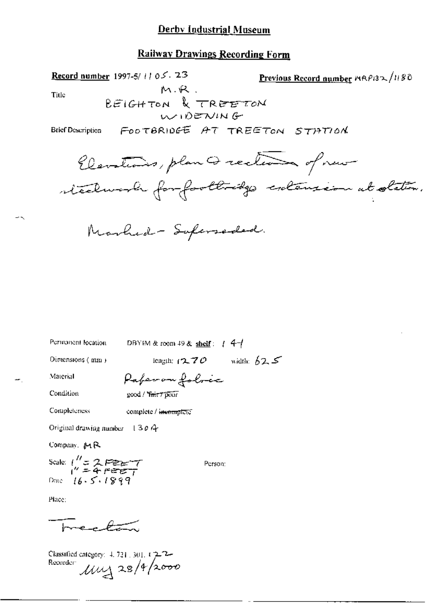### **Railway Drawings Recording Form**

**Record number** 1997-5/11 05. 23 Previous Record number 19804180  $M.R$ . Title BEIGHTON & TREETON  $M$  $D$ ENING FOOTBRIDGE AT TREETON STATION **Brief Description** Elevations, plan Q rection of new steelwork for footbridge catenzion at station.

Permanent location

DBYIM & room 49 & shelf:  $1.4-$ 

Dimensions (mm)

length:  $(2.70)$  width:  $62.5$ 

Material

Paperon folocc

Condition

good / Yair7 poor

Completeness complete / incomplete

Original drawing number  $130A$ 

Company, MR

Scale:  $\frac{1}{1}$  = 2 PEET<br>  $\frac{1}{1}$  = 4 PEET<br>
Drive: 16.5.1899

Person:

Place:

Freetan

Classified category:  $4.721.301.122$ <br>Recorder  $\mu$  28/4/2000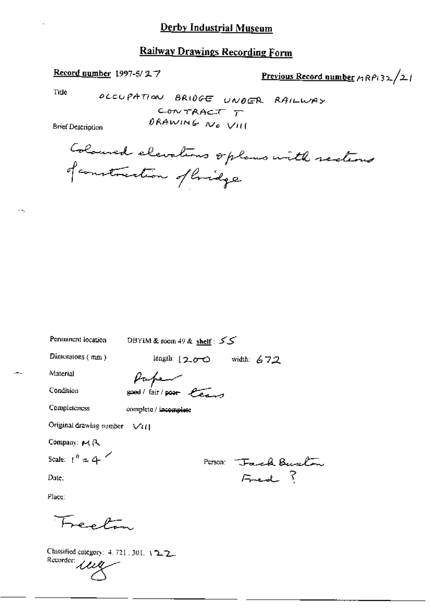### **Railway Drawings Recording Form**

### Record number 1997-5/27

Previous Record number  $A \cap P \geq 2$ 

Title

OCCUPATION BRIDGE UNDER RAILWAY CONTRACT T DRAWING NO VIII

**Brief Description** 

Coloused elevations oplans with rections of construction of lividge

Permanent location

DBYIM & room 49 & shelf: ∠∠

Dimensions  $(mn)$ 

length:  $200$  width:  $672$ 

Material

Paper good/fair/poor leave

Condition

Completeness

complete / incomplete

Original drawing number  $\sqrt{t}$ (1)

Company: MR

Scale:  $t'' = 4$ 

Date:

Person Tack Buston Fred ?

Place:

Freating

Classified category: 4.721, 301, 122 Recorder leg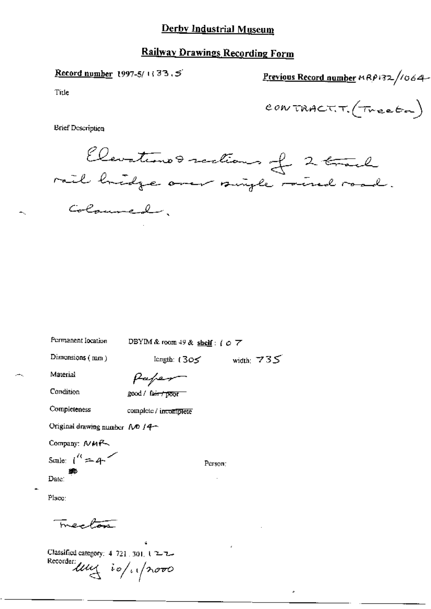### **Railway Drawings Recording Form**

Record number 1997-5/1133.5

Previous Record number 19 RP132/1064

Title

CONTRACT.  $(\tau_{\text{react}})$ 

**Brief Description** 

Elevations rections of 2 track rail hidge over single rained road. Coloumed.

Permanent Iocation

DBYIM & room 49 & shelf: [  $\phi$  7

Dimensions (mm)

length:  $(305 \text{ width})$  735

Material

Condition

Completeness

Paper

good / fair / poor

complete / incomplete

Original drawing number  $\Delta D / 4$ 

Company: NMR

Scale:  $1^{\prime\prime} = 4$ Date:

Person:

Place:

menton

Classified category: 4-721, 301, 1-2-2-Recorder ling is/ 1/2000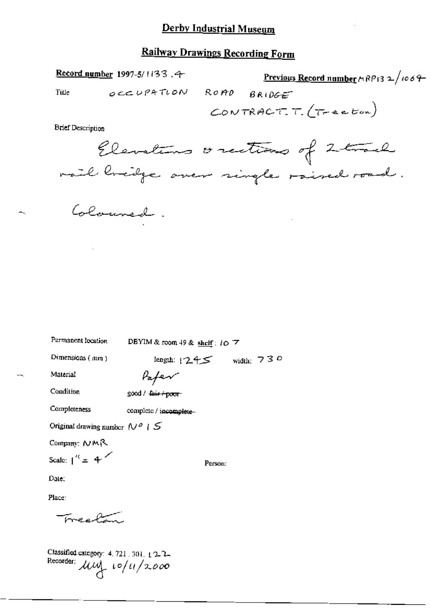Record number 1997-5/1133.4

Previous Record number  $\wedge$  RP13 2 /1064

Title

OCCUPATION ROAD  $BRIDE$ CONTRACT.  $\tau$ . (Tractor)

**Brief Description** 

Elevations orections of 2thank mail breidge over single raised road.

Colouned.

Permanent location

DBYIM & room 49 & shelf: 10 7

Dimensions (mm)

length:  $1245$  width: 730

Paper

Condition

Completeness

Material

good / fair / poor

complete / incomplete-

Original drawing number  $N^{\phi}$  |  $S$ 

Company: NMR

Scale:  $1^{\prime\prime} = 4^{\prime\prime}$ 

Person:

Date:

Place:

مسيقهم مرمودة

Classified category: 4, 721, 301, 12-2-Recorder:  $\mu$  $\mu$   $\sim$   $/$   $\mu$   $/$  2.000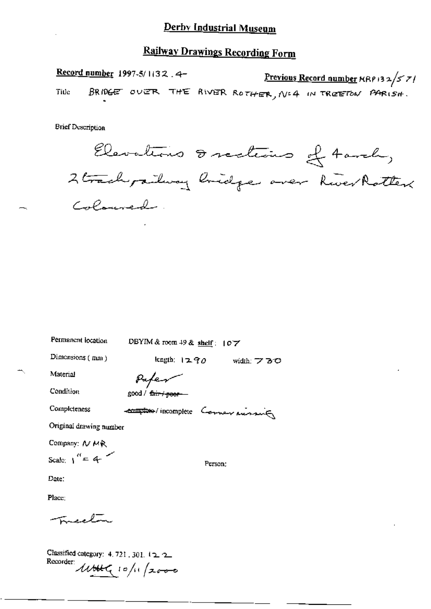Record number 1997-5/1132.4-Previous Record number  $\kappa$ RP 132/57/ BRIDGE OVER THE RIVER ROTHER, Nº4 IN TREETON PARISH. Title

**Brief Description** 

Elevations Incelieus & tarch, 2 track pailway bridge over River Rotter Coloured.

DBYIM & room 49 & shelf: 107

Dimensions (mm)

Permanent location

length:  $1290$  width:  $730$ 

Material

Paper

Condition

good / fair / poor-

Completeness

complete / incomplete Comer russing

Original drawing number

Company: N MR

Scale:  $1^{16} = 4$ 

Person:

Date:

Place:

reel

Classified category: 4, 721, 301, 122 Recorder util 10/11/2000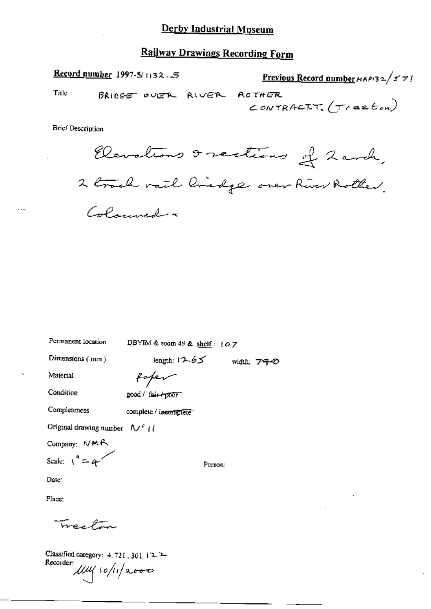Record number 1997-5/1132.5 Previous Record number HAPI32/57/ Title BRIDGE OVER RIVER **ROTHER** CONTRACTT.  $(\tau$ raeton) **Brief Description** 

Elevations & sections of 2 and, 2 track rail linedge over River Rother. Colouned a

DBYIM & room 49 & shelf: 107

Dimensions (mm)

Permanent location

length:  $12.65$  width:  $740$ 

Material

Condition

foter good / fair-poor

Completeness complete / incomplete

Original drawing number  $\sqrt{t}$  (

Company: NMR

Scale:  $1^4 = 4$ 

Person:

Date:

Place:

TreePin

Classified category:  $4.721$ ,  $301$ ,  $12.2$ Recorder:  $\mu$  $\mu$  10/11/2000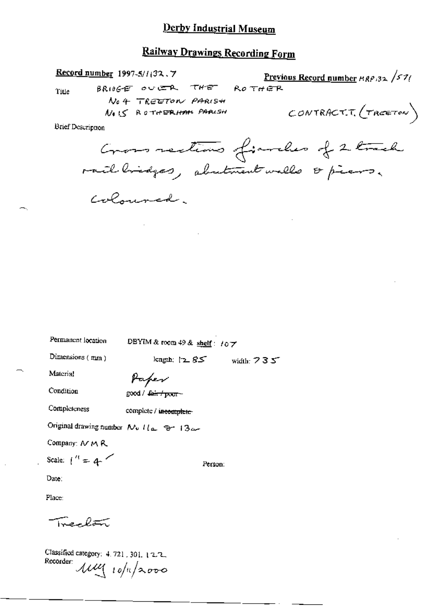### **Railway Drawings Recording Form**

**Record number**  $1997 - 5/1132$ , 7 <u>Previous Record number  $\frac{\mu_{R} \rho_{32}}{\sigma_1}$ </u>  $ROTHER$ BRIOGE OVER THE Title No 4 TREETON PARISH CONTRACT.T.  $(r_{RCETON})$ No IS ROTHERHAM PARISH Brief Description

Gross rections finales of 2 track rail hidges, abutment walls & piers. Coloured.

Permanent location

DBYIM & room 49 & shelf:  $107$ 

Dimensions (mm)

Paper

Condition

Material

good / fair / poor -

Completeness complete / incomplete

Original drawing number  $N_v$   $1/\sqrt{2}$   $\Theta$  13a-

Company: N M R

Scale:  $\binom{n}{k}$  = 4

Person:

length;  $\sqrt{2.85}$  width: 735

Date:

Place:

Trenlan

Classified category: 4.721, 301, 12.2. Recorder  $\mu u_1$  10/11/2000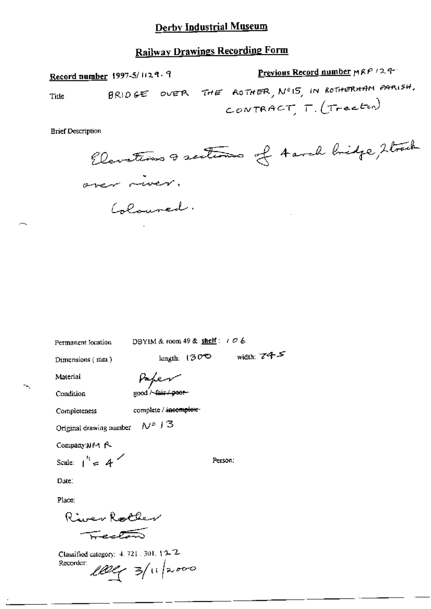### **Railway Drawings Recording Form**

Previous Record number MRP /24 Record number 1997-5/1129.9  $BR1D$  GE OVER THE ROTHER,  $N^{\circ}$ 15, IN ROTHERHAM PARISH. Title CONTRACT,  $T_{\cdot}(T_{\cdot}ecton)$ 

**Brief Description** 

Elevations a sections of Aarch bridge, Strach aren niver. Coloured.

Permanent location

DBYIM & room 49 & shelf:  $106$ 

length:  $130^\circ$  width:  $74.5^\circ$ 

Person:

Dimensions (mm)

Paper

Condition

Material

good Afair / poor-

Completeness

complete / incomplete-

 $N^{\circ}$  13 Original drawing number

Company NM R

Scale:  $1^{\prime\prime} = 4$ 

Date:

Place:

River Roller Fector

Classified category: 4, 721, 301, 12-2. 100g 3/11/2000 Recorder: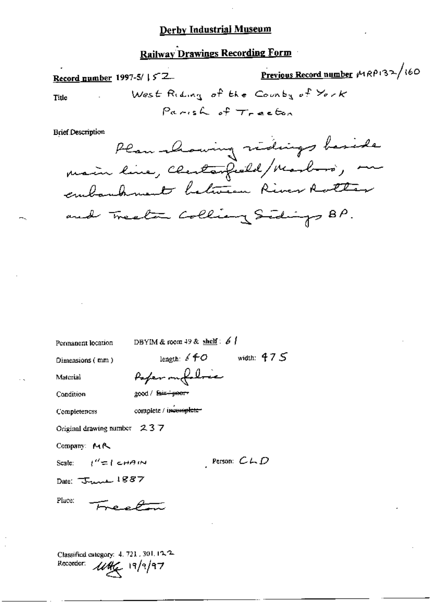### Railway Drawings Recording Form

Previous Record number MRP132/160 Record number 1997-5/ | 5 2 West Riding of the County of York Title Parish of Treeton **Brief Description** Plan moving vidings baside embankment between River Rotter

Permanent location

DBYIM & room 49 & shelf:  $61$ 

Dimensions (mm)

length:  $6 + 0$  width: 475 Paper on follow

Condition

Material

good / fair+poor-

Completeness

complete / incomplete-

Original drawing number 237

Company: MR

Scale:  $t'' = t$  cHA IN

Person:  $C \cup D$ 

Date: June 1887

Place:

Classified category: 4, 721, 301, 12, 2-Recorder:  $\mathcal{U}\mathcal{U}\leftarrow$  19/9/97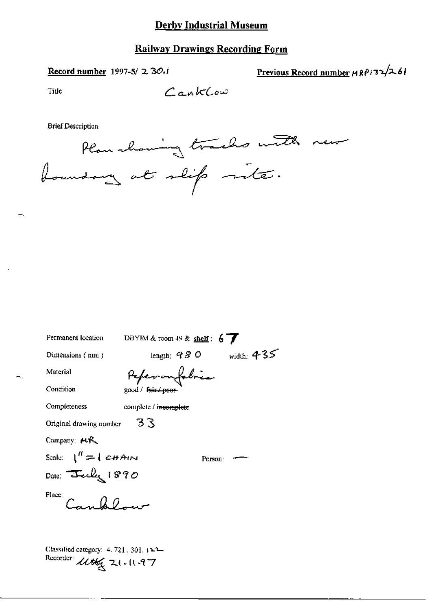### **Railway Drawings Recording Form**

### Record number 1997-5/ 2 30.1

Previous Record number  $\text{HRP}(32/2.61)$ 

Tide

**Brief Description** 



| Permanent location           | DBYIM & room 49 & shelf : $6\frac{1}{2}$ |              |
|------------------------------|------------------------------------------|--------------|
| Dimensions (nun)             | length: $\mathcal{A} \mathcal{B}$ O      | width: $435$ |
| Material                     | Peperanfolice                            |              |
| Condition                    | good / fair / poor                       |              |
| Completeness                 | complete / i <del>ncomplete</del>        |              |
| Original drawing number      | 33                                       |              |
| Company: $MR$                |                                          |              |
| Scale: $1^{H} = 1$ CHAIN     | Person:                                  |              |
| Date: <del>J</del> eely 1890 |                                          |              |
| Place:<br>$C_{\alpha}$ , 0.0 |                                          |              |
|                              |                                          |              |

Classified category: 4, 721, 301, 122-Recorder: Utter 21-1197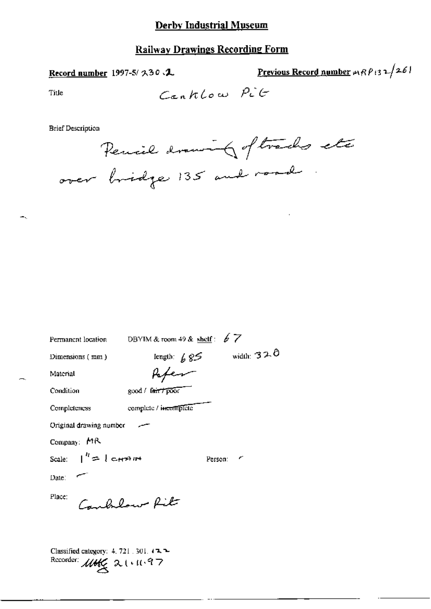### **Railway Drawings Recording Form**

#### Record number 1997-5/ 230.1

Previous Record number  $\exp(i3\pi/26)$ 

Title

**Brief Description** 

Pencil drawing of tracks etc over bridge 135 and road

| Permanent location                                      | DBYIM & room 49 & shelf : $67$ |              |
|---------------------------------------------------------|--------------------------------|--------------|
| Dimensions (mm)                                         | length: $685$                  | width: $320$ |
| Material                                                | Paper                          |              |
| Condition                                               | good / fair / poor             |              |
| Completeness                                            | complete / incomplete          |              |
| Original drawing number                                 |                                |              |
| Company: MR                                             |                                |              |
| Scale: $\vert \hspace{.1cm} \vert^h \equiv \vert$ chant |                                | ╭<br>Person: |
| Date: $\sim$                                            |                                |              |
| Place:                                                  | Canbream Rite                  |              |
| Classified category: $4, 721, 301, 12, 24$              |                                |              |

Recorder:  $\mathcal{U}\mathcal{H}\mathcal{L}$  2 ( $(11.97)$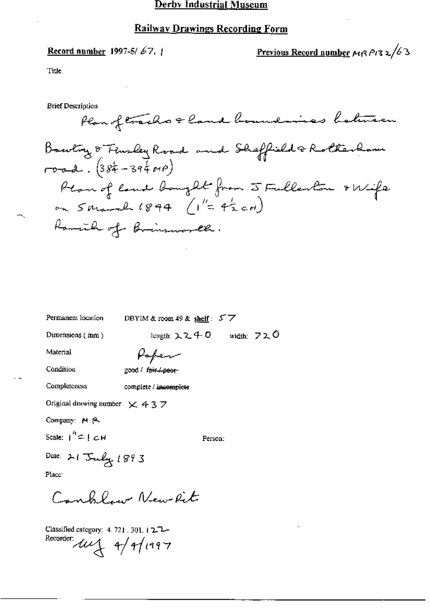Record number 1997-5/67.

Previous Record number  $\mu$ 13 1/63

Title

**Brief Description** 

Plan of trachs & land boundaries between Bowling & Finsley Road and Shaffield & Rotherlam  $root.$   $(384 - 3940)$ Plan of land bought from 5 Fulleston & Wife on  $S$  March 1894 ( $I' = 4\frac{1}{2}cH$ ) Ramich of Brinsworth.

| Permanent location                   | DBYIM & room 49 & shelf: $57$                      |
|--------------------------------------|----------------------------------------------------|
| Dimensions (mm)                      | length: $2240$ width: $720$                        |
| Material                             | Popen                                              |
| Condition                            | good / f <del>air / peor</del> -                   |
| Completeness                         | complete / incomplete                              |
| Original drawing number $\times$ 437 |                                                    |
| Company: M A                         |                                                    |
| Scale: $1'' = 1$ $CH$                | Person:                                            |
| Dale: 21 July 1893                   |                                                    |
| Place:                               |                                                    |
|                                      | $C = \ell \ell \ell \neq \ell \ell \neq \ell \ell$ |

Classified category: 4, 721, 301, 12.72-Recorder:  $\mu$  4/4/1997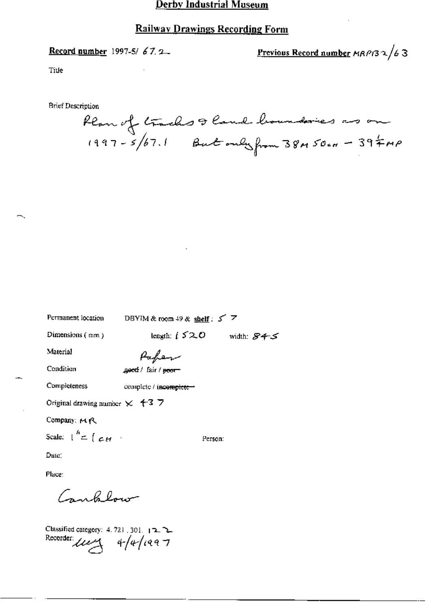### **Railway Drawings Recording Form**

Record number 1997-5/67.2

Previous Record number  $MRPI32/63$ 

Title

**Brief Description** 

**Dermonant lessien** 

Plan of trachs & land boundaries as on

| г станон, планон                                                                | $\log i$ MICK FOODD 49 OC SDEEL 3 $\sim$ |            |
|---------------------------------------------------------------------------------|------------------------------------------|------------|
| Dimensions $(mn)$                                                               | length: $i \times 20$                    | width: 845 |
| Material                                                                        | Pafer                                    |            |
| Condition                                                                       | geed / fair / <del>poor</del>            |            |
| Completeness                                                                    | complete / incomplete-                   |            |
| Original drawing number $\times$ 4-3 7                                          |                                          |            |
| Company: MR                                                                     |                                          |            |
| Scale: $\int_0^h = \int_{\mathbb{R}} \mathcal{L} H$ .                           | Person:                                  |            |
| Date:                                                                           |                                          |            |
| Place:                                                                          |                                          |            |
| سيهبط وكمرهبة                                                                   |                                          |            |
| Classified category: 4.721.301. 12.2.<br>Recorder: $\mu$ $\rightarrow$ 4/4/1997 |                                          |            |

DOMIN 4.8  $\sim$   $\sim$  40.8  $\mu$   $\sim$  5.38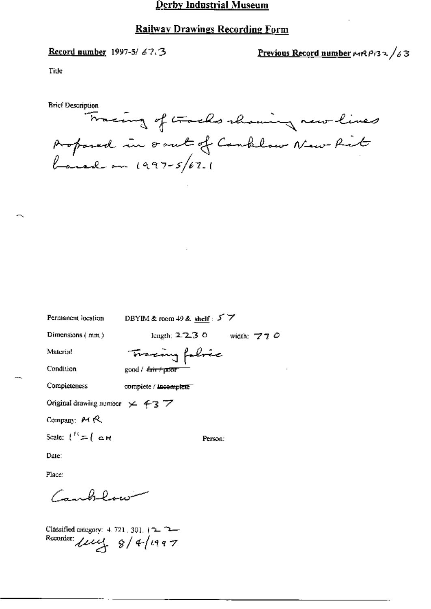#### **Railway Drawings Recording Form**

Record number 1997-5/67.3

Previous Record number  $\mu$ (RPi32/63

Title

**Brief Description** Tracing of tracks shaming new lines proposed in south of Canklow New Rit

| Permanent location                                 | DBYIM & room 49 & shelf: $5\overline{7}$ |
|----------------------------------------------------|------------------------------------------|
| Dimensions (mm)                                    | length; $2.2.3$ O<br>width: $770$        |
| Material                                           | Tracing fobric                           |
| Condition                                          |                                          |
| Completeness                                       | complete / incomplete                    |
| Original drawing number $\times$ 43 $\overline{7}$ |                                          |
| Company: $M R$                                     |                                          |
| Scale: $1'' = \{ \text{ or }$                      | Person:                                  |
| Date:                                              |                                          |
| Place:                                             |                                          |
| سندراكم كمكربية                                    |                                          |
|                                                    |                                          |

Classified category: 4.721.301.122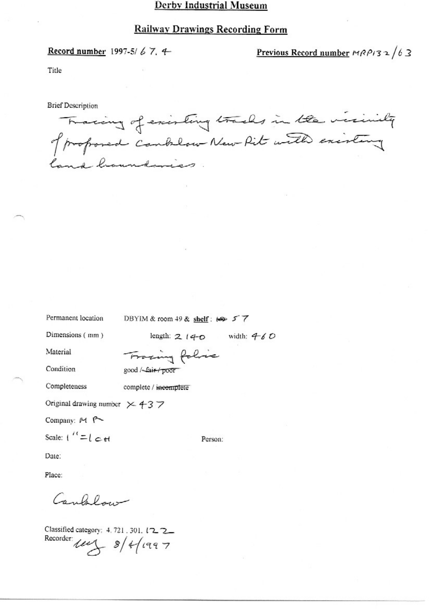#### **Railway Drawings Recording Form**

Record number 1997-5/67.4

Previous Record number  $MRP/32/63$ 

Title

**Brief Description** 

Tracing of existing tracks in the visiting of proposed combilow New Pit with existing lang channamies

Permanent location

DBYIM & room 49 & shelf: 12 57

Dimensions (mm)

length:  $2140$  width:  $460$ 

Material

Tracing folice good /-fair/poor

Condition

Completeness complete / incomplete

Original drawing number  $\times$  437

Company: M P

Scale:  $1'' = 1$   $\epsilon$  if

Person:

Date:

Place:

Cambridge

Classified category: 4.721.301.122 Recorder  $\mu$   $\rightarrow$  8/4/1997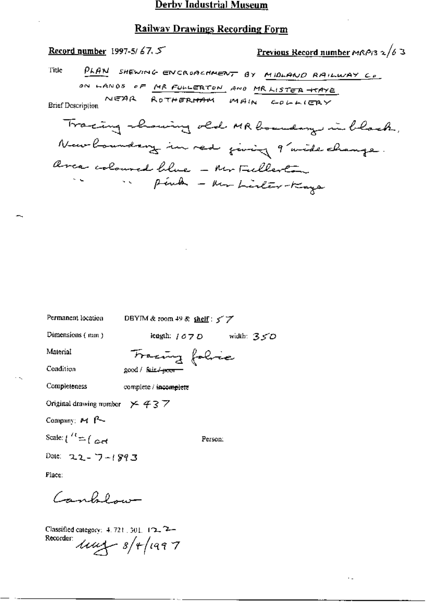#### Railway Drawings Recording Form

Record number 1997-5/67.5 Previous Record number MRP13  $2/6$  3 PLAN SHEWING ENCROACHMENT BY MIDLAND RAILWAY CO. Title ON LANDS OF MR FULLERTON AND MR LISTER HTAYE **Brief Description** Tracing showing old MR boundary in black, New boundary in red jurig 9 wide change. area coloured blue - Mr Fullerton Pink - har Lister-Kaya

Permanent location DBYIM & room 49 & shelf :  $57$ Dimensions (mm) length:  $107D$  width:  $35D$ Tracing folice Material Condition good / fair / poor Completeness complete / incomplete Original drawing number  $\times$  437 Company: M P Scale:  $\int_0^{R} f(x) dx$ Person: Date:  $22 - 7 - 1893$ Place: Canklow

Classified category: 4.721, 301, 12, 2-Recorder  $11/2$  8/4/1997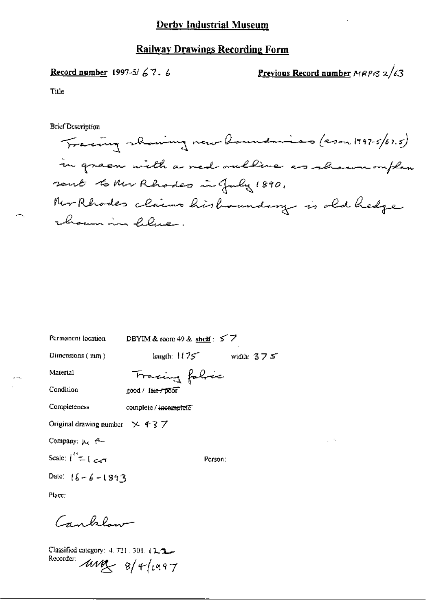### Record number 1997-5/67.6

Previous Record number MRPI3 2/63

Title

**Brief Description** 

Tracing showing new boundaries (200m 1997-5/67.5) in green with a red outline as shown ouplan sent to Mr Rhodes in July 1890. Ner Rhodes claims hisbanndary is old hedge choun in lebec.

| Permanent location                        | DBYIM & toom 49 & shelf: $57$ |              |
|-------------------------------------------|-------------------------------|--------------|
| Dimensions (mm)                           | length: $1175$                | width: $375$ |
| Material                                  | Tracing fabric                |              |
| Condition                                 | good / lait / poor            |              |
| Completeness                              | complete / incomplete         |              |
| Original drawing number $\times$ 437      |                               |              |
| Company; $\mu_{\epsilon}$ $\epsilon$ -    |                               |              |
| Scale: $\binom{n}{k}$ $\subset$ $\subset$ | Person:                       |              |
| Date: $16 - 6 - 1893$                     |                               |              |
|                                           |                               |              |

Place:

Canbelow-

Classified category: 4, 721, 301, 12, 2, 2, Recorder:  $\text{avg}_{s}$  8/4/1997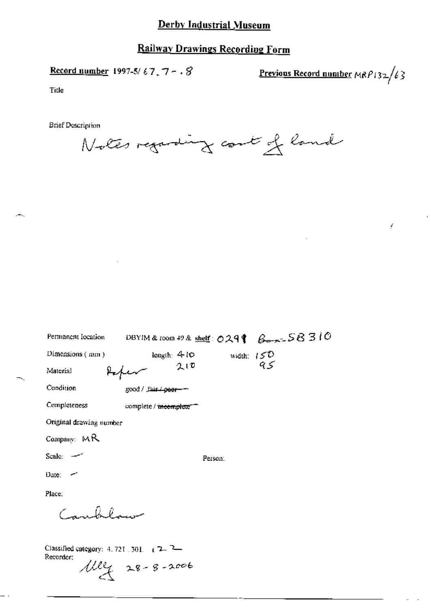### **Railway Drawings Recording Form**

Record number 1997-5/67,  $7 - .8$ 

Previous Record number  $MRP$ 132/63

£

Title

**Brief Description** 

Notes regarding count of land

| Permanent Iocation      | DBYIM & room 49 & shelf: $029$ $\beta$ $\rightarrow$ $58310$ |                         |
|-------------------------|--------------------------------------------------------------|-------------------------|
| Dimensions $($ mm $)$   | length: $410$                                                | width: $15^{2}$<br>$95$ |
| Material                | 久田                                                           |                         |
| Condition               | good / fair <del>/ poor</del>                                |                         |
| Completeness            | complete / incomplete"                                       |                         |
| Original drawing number |                                                              |                         |
| Company: $MR$           |                                                              |                         |
| Scale: $-$              | Person:                                                      |                         |
| Date:                   |                                                              |                         |
| Place:                  |                                                              |                         |
| $\epsilon = 0, 0, $     |                                                              |                         |
|                         |                                                              |                         |

Classified category:  $4.721$ ,  $301$ ,  $\left(7 - \frac{7}{2}\right)$ Recorder;  $102 + 28 - 8 - 2006$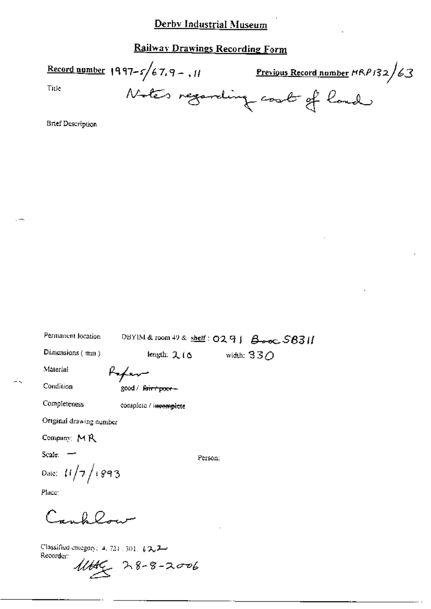### Railway Drawings Recording Form

Record number 1997-5/67.9-, 11 Previous Record number  $HRP/32/63$ Title Notes regarding cost of land

**Brief Description** 

DBYIM & room 49 & shelf: 0291 Booc S8311 Permanent location Dimensions (mm) width:  $330$ length:  $2.16$ 

Refer

Condition

Material

good / fairt poor-

Completeness

complete / incomplete

Original drawing number

Date:  $11/7/1893$ 

Company: MR

Scale: -

Person:

Place:

 $C_{\text{max}}$  for  $Q_{\text{max}}$ 

Classified category: 4, 721, 301,  $\sqrt{2}$ Recorder:

 $11446$  28-8-2006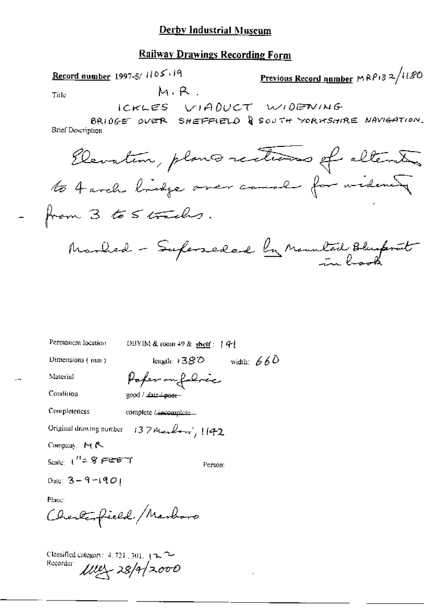### **Railway Drawings Recording Form**

| Record number 1997-5/1105.19                       | Previous Record number MRP132/1180 |
|----------------------------------------------------|------------------------------------|
| Title                                              | M.R.                               |
| ICKLES VIADUCT W10EDVING-BIBP1DEQ                  |                                    |
| BRI0GE over BHEFFIELO QSOUTH YORNSHIRE NAYIGATION. |                                    |
| BrieDescription                                    |                                    |
| QLevalten, plane Green canel for mideneg           |                                    |
| from 3 to S trends).                               |                                    |
| Amount 3 to S (fraeths).                           |                                    |
| Numberled – Superseded $ln$ Munded $Im$            |                                    |

Permanent location DBYIM & room 49 & shelf:  $|44|$ length:  $1380$  width:  $660$ Dimensions (mm) Paper on follow Material Condition good / Lair / poor -Completeness complete / incomplete Original drawing number 137 Marchon, 1142 Company, MR Scale:  $t'' = 8$  FEET Person: Date:  $3 - 9 - 1901$ Place: Charlesfield Marboro

Classified category: 4, 721, 301, 12, 2-Recorder  $102 - 28/4/2000$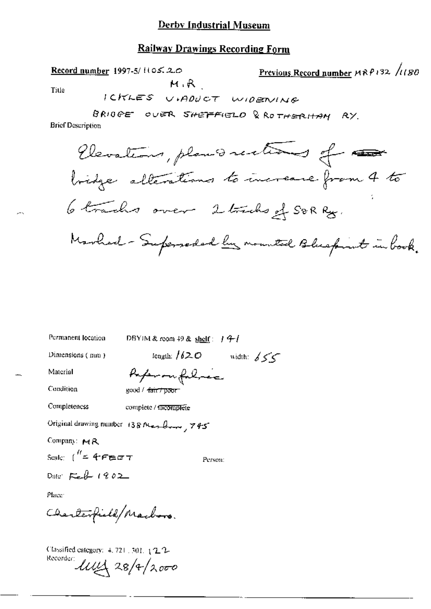#### **Railway Drawings Recording Form**

 $M, R$ 

Record number 1997-5/1105.20

Title

ICKLES VIADUCT WIDENING BRIOGE OUER SHEFFIELD & ROTHERHAM RY. **Brief Description** Elevations, plans rections of the bridge alterations to increase from 4 to 6 trachs over 2 tracks of SORRy. Marhard - Superseded by mounted Bluefint in book.

Previous Record number MRP132 /1180

| Permanent location                                  | DBYIM & room 49 & $\frac{\text{shelf}}{2}$ / $\frac{q}{r}$ / |
|-----------------------------------------------------|--------------------------------------------------------------|
| Dimensions (mm)                                     | length: $/62$ O<br>width: $655$                              |
| Material                                            | Reference for Linea                                          |
| Condition                                           | good / <del>fair / poor -</del>                              |
| Completeness                                        | complete / f <del>ficomplete</del>                           |
|                                                     | Original drawing number 138 Max Boom, 745                    |
| Company: MR                                         |                                                              |
| Scale: $\int_{-\infty}^{\infty} 4\epsilon \epsilon$ | Person:                                                      |
| Date: $\mathcal{F}_{\epsilon}$ $\ell$ 1902          |                                                              |
| Place:                                              |                                                              |
| Charlesfield/Machoro.                               |                                                              |
|                                                     |                                                              |

Classified category: 4, 721, 301, 4 2, 2-Recorder:  $\text{unit}$  28/4/2000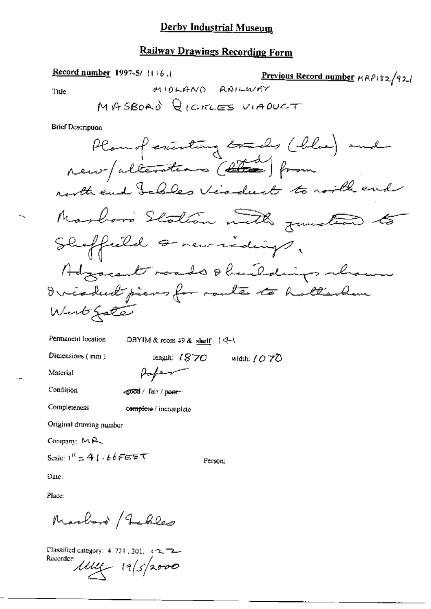### **Railway Drawings Recording Form**

Record number 1997-5/1116.1 Previous Record number HRP132/921 MIOLAND RAILWAY MASBOAD QICRLES VIADUCT **Brief Description** Planol cristing tracks (blue) and

Permanent location

DBYIM & room 49 & shelf: (4-1

Dimensions (mm)

Material

Title

Condition

Completeness

<stood / fair / poer-

Paper

complete / incomplete

Original drawing number

Company: MR

Scale:  $1^{11} = 41.66$ FEET

Person:

length:  $1870$  width:  $1070$ 

Date:

Place:

Marboro / Jebles

Classified category: 4, 721, 301, (2, 72) Recorder 14/5/2000

 $\overline{a}$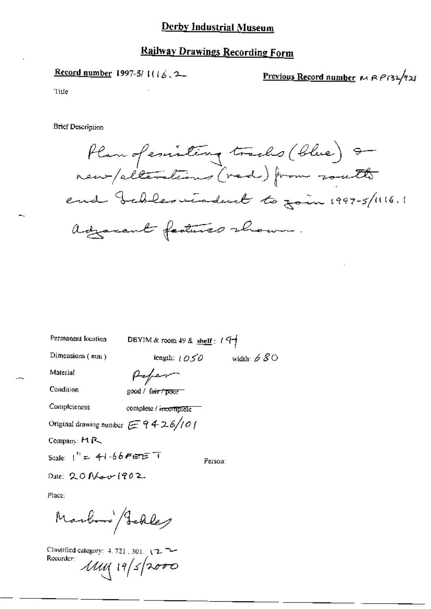## **Railway Drawings Recording Form**

Record number 1997-5/ $[(\frac{1}{6}, 2)]$ 

Previous Record number MRP132/921

Tiue

**Brief Description** 

Plan of emisting tracks (blue) 9 new/alterations (red) from roath end beblesviadent to fain 1997-5/1116.1 adjacent features shown.

| Permanent location                                 | DBYIM & room $49$ & $\frac{\text{shelf}}{11}$ : $(4+)$ |                            |
|----------------------------------------------------|--------------------------------------------------------|----------------------------|
| Dimensions $(mn)$                                  | length: $10.50$                                        | width: $\cancel{\phi}$ S O |
| Material                                           | Poper                                                  |                            |
| Condition                                          | good / fair / poor                                     |                            |
| Completeness                                       | complete / incomplete                                  |                            |
| Original drawing number $\epsilon \equiv 9426/101$ |                                                        |                            |
| Compam: $M \rightarrow \infty$                     |                                                        |                            |
|                                                    |                                                        | Person:                    |
| Date: 20 New 1902                                  |                                                        |                            |
| Place:                                             |                                                        |                            |

Marboro Schley

Classified category: 4, 721, 301, 1-2. Recorder:  $1141 | 19/5| 2000$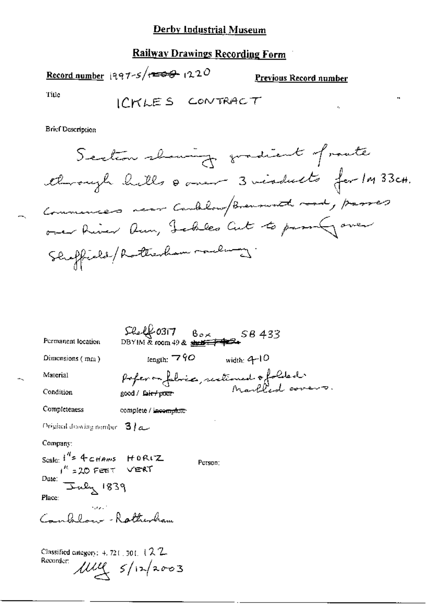# Railway Drawings Recording Form

Record number 1997-5/ $\sqrt{100}$  1220

Previous Record number

 $\lambda_{\rm c}$ 

ä,

Title

**Brief Description** 

| Permanent location                                                                                                                        | $SL(40317)$ $B_{\alpha\times}$<br>$DBYIM \&$ room 49 & street $\overrightarrow{CP}$ |         | 58433         |  |
|-------------------------------------------------------------------------------------------------------------------------------------------|-------------------------------------------------------------------------------------|---------|---------------|--|
| Dimensions (mm)                                                                                                                           | length: $790$                                                                       |         | width: $4-10$ |  |
| Material                                                                                                                                  | poferon fabrics, restimed o folded.                                                 |         |               |  |
| Condition                                                                                                                                 | good / fair+pour                                                                    |         |               |  |
| Completeness                                                                                                                              | complete / incomplete                                                               |         |               |  |
| Original during number $3/a$                                                                                                              |                                                                                     |         |               |  |
| Company:<br>Scale: $f'' = 4c$ Hams $HOR(Z)$<br>$1^{\prime\prime}$ = 20 Feet VERT<br>E Jaly 1839<br>Date:<br>Place:<br>Canbelon- Ratherham |                                                                                     | Person: |               |  |
| Classified category: $+$ , 721, 301, $+$ $\sqrt{2}$ , $-$<br>Recorder:                                                                    | $\mu\mu$ $s/n$ 2003                                                                 |         |               |  |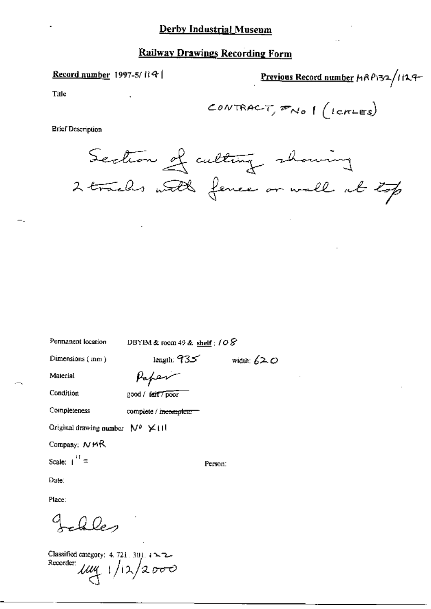#### Record number 1997-5/ $R$

Previous Record number HRP132/1129-

Title

$$
\mathcal{L} \text{ONTRAC-T}, \mathcal{P} \text{No} \mid (\text{LcrLES})
$$

**Brief Description** 

Section of cultury showing 2 trachs with fence or wall at top

Permanent location

DBYIM & room 49 & shelf :  $108$ 

Dimensions (mm)

Paper

Condition

Completeness

Material

good / fait / poor

complete / incomplete

Original drawing number  $N^p \times (11)$ 

Company:  $NMR$ 

Scale:  $1^{11}$  =

Date:

Place:

Q Des

Classified category:  $4.721 \cdot 301.1$   $\sim$  2. Recorder  $\mu$ uy 1/12/2000 Person:

length:  $935$  width:  $620$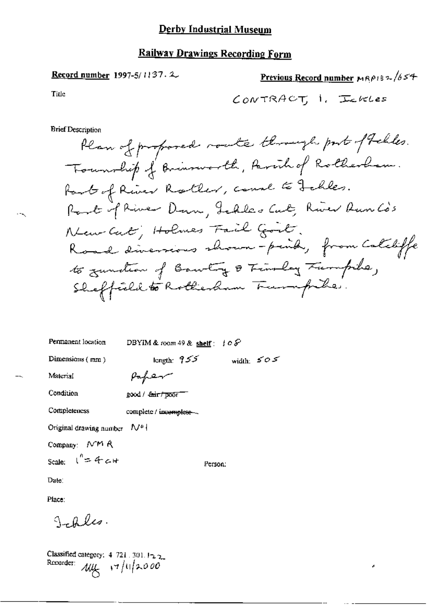Previous Record number MRP132/654 **Record number 1997-5/1137.2.** Title CONTRACT, 1. Inkles **Brief Description** Plan of proposed route through port of Felles. Township of Brinsworth, Parcil of Rotherlam. fart of River Rotler, comme to Jehles.

Root if River Down, Jeddes Cut, River Aun Co's New Cat; Holmes Fail Good. Road diversions shown-peind, from Calibific to zundian of Barbing & Timolay Tumpike, Sheffield to Rotherham Turnpike.

| Permanent location      | DBYIM & room 49 & shelf $: 10S$  |         |              |
|-------------------------|----------------------------------|---------|--------------|
| Dimensions $(mn)$       | length: $955$                    |         | width: $505$ |
| Material                | Paper                            |         |              |
| Condition               | good / <del>fair / po</del> or " |         |              |
| Completeness            | complete / incomplete -          |         |              |
| Original drawing number | V.I                              |         |              |
| Company: MM R           |                                  |         |              |
| Scale: $1'' = 4c+$      |                                  | Person: |              |

Date:

Place:

Jales.

Classified category:  $4\,721\,.\,301.12\,2$ Recorder: My  $17/11/2000$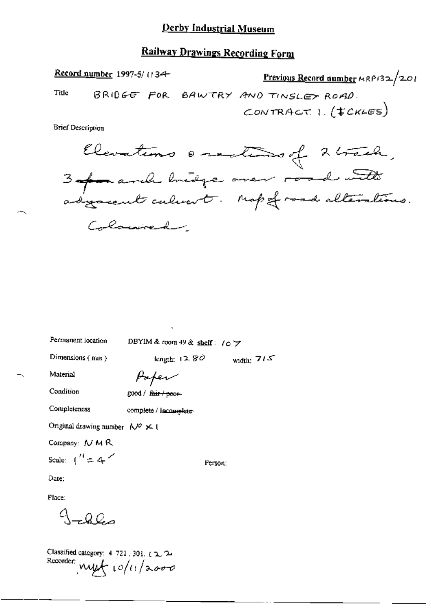### **Railway Drawings Recording Form**

Record number 1997-5/1134 Previous Record number MRP132/201 BRIDGE FOR BAWTRY AND TINSLEY ROAD. Title CONTRACT  $1.(tCKLES)$ 

**Brief Description** 

Clevations escalado of 2 track, 3 of a anche bridge over road with Colonical

Permanent location

DBYIM & room 49 & shelf:  $\ell_0$   $\rightarrow$ 

Dimensions (nan)

Paper

Condition

Completeness

Material

good / fair / poor-

complete / inconvelete-

Original drawing number  $N^{\circ} \times 0$ 

Company: N M R

Scale:  $\binom{n}{2}$  = 4

Person:

length:  $1280$  width:  $715$ 

Date:

Place:

 $-000$ 

Classified category:  $4$  721, 301,  $t \ge 2$ Recorder: nyst 10/11/2000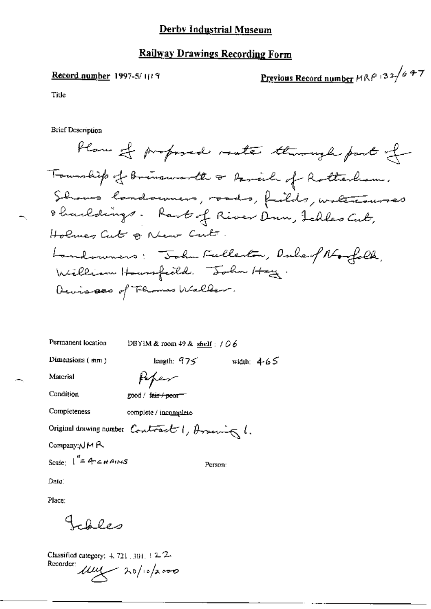#### **Record number 1997-5/11/9**

Previous Record number  $MRP$  132/6 47

Title

**Brief Description** 

flaw of proposed route through part of Township of Brinsworth or Parish of Rotherhom. Shows landsumers, roads, failits, watercourses 8 harldings. Rant of River Dun, Ichles Cut, Holmes Cut & New Cut. Landowners: "John Fullerton, Dubert No folk, William Housefeeld. John Hay. Devisees of Flames Waller.

Permanent location DBYIM & room 49 & shelf :  $106$ 

Peper

Dimensions (mm)

length:  $975$  width:  $465$ 

Condition

Material

good / fair / poor=

Completeness

complete / incomplete

Original drawing number Contract 1, Aroung 1.

 $\mathsf{Company}\cup\mathsf{M}\,\mathsf{R}.$ 

Scale:  $\int_{0}^{\pi}$  4 cHAINS

Person:

Date:

Place:

 $-0000$ 

Classified category:  $4, 721, 301, 12.2$ Recorder  $\mu$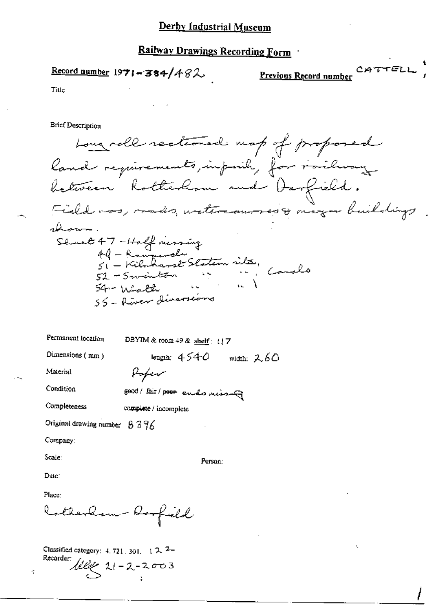Record number  $1971 - 384/482$ 

Previous Record number

CATTELL

Title

Brief Description

Long roll rectioned map of proposed land requirements, imposibly for railway between hotterhom and Darfield. Field was, roads, watercommes & mayor buildings ahoarro how.<br>Sluct 47-Holf nersing<br>49-Romande Staten vita,<br>51-Swinton is in Conals 54 - Walter III<br>55 - River diversions

Permanent location DBYIM & room  $49$  & shelf:  $17$ length:  $4540$  width:  $260$ Dimensions (mm) Material Poper

Condition

good/ Eair/ poor endo rissing

Completeness

complete / incomplete

Original drawing number  $8396$ 

Company:

Scale:

Person:

Date:

Place:

Rotherhow - Roofield

Classified category:  $4.721.301. 12.7$ Recorder:  $\frac{100}{5}$  11-2-2003